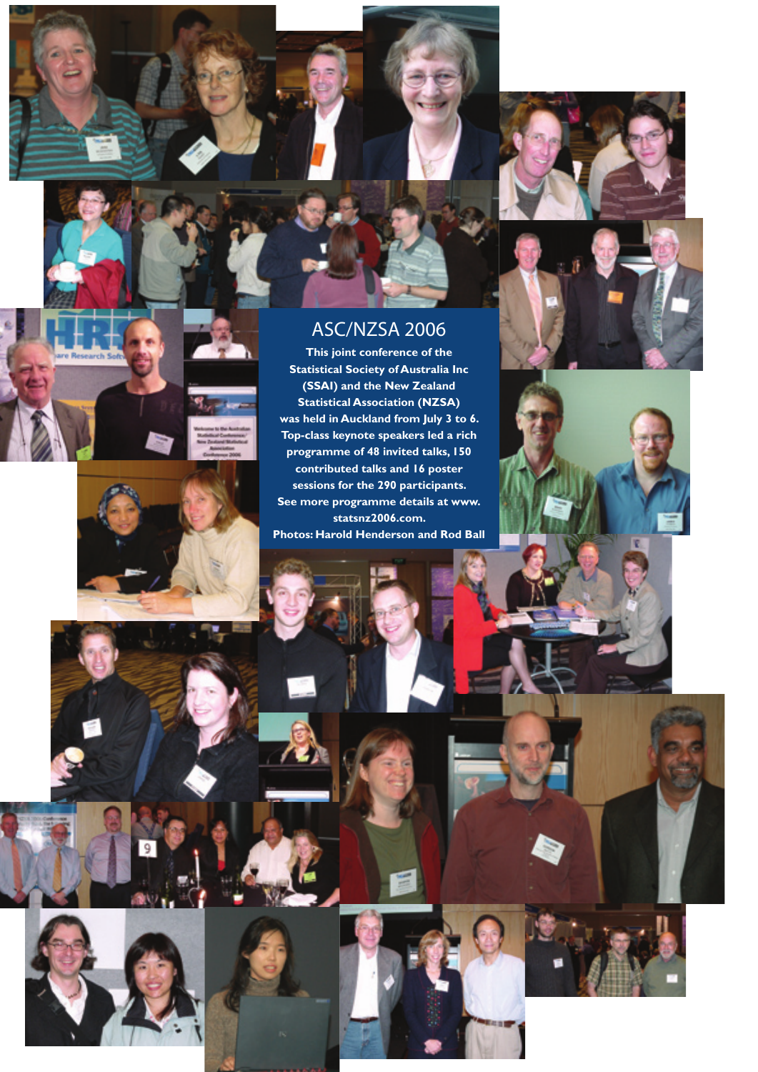





## ASC/NZSA 2006

**This joint conference of the Statistical Society of Australia Inc (SSAI) and the New Zealand Statistical Association (NZSA) was held in Auckland from July 3 to 6. Top-class keynote speakers led a rich programme of 48 invited talks, 150 contributed talks and 16 poster sessions for the 290 participants. See more programme details at www. statsnz2006.com. Photos: Harold Henderson and Rod Ball**











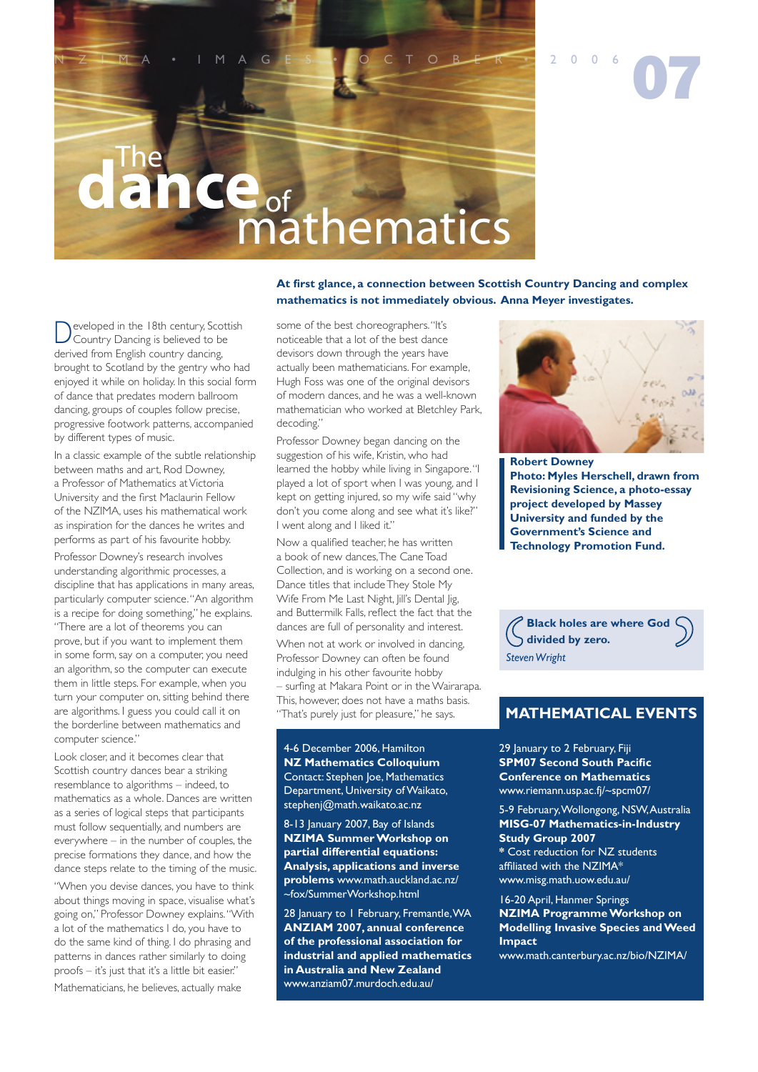

**At first glance, a connection between Scottish Country Dancing and complex mathematics is not immediately obvious. Anna Meyer investigates.**

Developed in the 18th century, Scottish<br>Country Dancing is believed to be derived from English country dancing, brought to Scotland by the gentry who had enjoyed it while on holiday. In this social form of dance that predates modern ballroom dancing, groups of couples follow precise, progressive footwork patterns, accompanied by different types of music.

In a classic example of the subtle relationship between maths and art, Rod Downey, a Professor of Mathematics at Victoria University and the first Maclaurin Fellow of the NZIMA, uses his mathematical work as inspiration for the dances he writes and performs as part of his favourite hobby.

Professor Downey's research involves understanding algorithmic processes, a discipline that has applications in many areas, particularly computer science. "An algorithm is a recipe for doing something," he explains. "There are a lot of theorems you can prove, but if you want to implement them in some form, say on a computer, you need an algorithm, so the computer can execute them in little steps. For example, when you turn your computer on, sitting behind there are algorithms. I guess you could call it on the borderline between mathematics and computer science."

Look closer, and it becomes clear that Scottish country dances bear a striking resemblance to algorithms – indeed, to mathematics as a whole. Dances are written as a series of logical steps that participants must follow sequentially, and numbers are everywhere – in the number of couples, the precise formations they dance, and how the dance steps relate to the timing of the music.

"When you devise dances, you have to think about things moving in space, visualise what's going on," Professor Downey explains. "With a lot of the mathematics I do, you have to do the same kind of thing. I do phrasing and patterns in dances rather similarly to doing proofs – it's just that it's a little bit easier." Mathematicians, he believes, actually make

some of the best choreographers. "It's noticeable that a lot of the best dance devisors down through the years have actually been mathematicians. For example, Hugh Foss was one of the original devisors of modern dances, and he was a well-known mathematician who worked at Bletchley Park, decoding."

Professor Downey began dancing on the suggestion of his wife, Kristin, who had learned the hobby while living in Singapore. "I played a lot of sport when I was young, and I kept on getting injured, so my wife said "why don't you come along and see what it's like?" I went along and I liked it."

Now a qualified teacher, he has written a book of new dances, The Cane Toad Collection, and is working on a second one. Dance titles that include They Stole My Wife From Me Last Night, Jill's Dental Jig, and Buttermilk Falls, reflect the fact that the dances are full of personality and interest. When not at work or involved in dancing, Professor Downey can often be found indulging in his other favourite hobby – surfing at Makara Point or in the Wairarapa. This, however, does not have a maths basis. "That's purely just for pleasure," he says.

4-6 December 2006, Hamilton **NZ Mathematics Colloquium**  Contact: Stephen Joe, Mathematics Department, University of Waikato, stephenj@math.waikato.ac.nz

8-13 January 2007, Bay of Islands **NZIMA Summer Workshop on partial differential equations: Analysis, applications and inverse problems** www.math.auckland.ac.nz/ ~fox/SummerWorkshop.html

28 January to 1 February, Fremantle, WA **ANZIAM 2007, annual conference of the professional association for industrial and applied mathematics in Australia and New Zealand** www.anziam07.murdoch.edu.au/



**Robert Downey Photo: Myles Herschell, drawn from Revisioning Science, a photo-essay project developed by Massey University and funded by the Government's Science and Technology Promotion Fund.**

**Black holes are where God divided by zero.** *Steven Wright*

## **MATHEMATICAL EVENTS**

29 January to 2 February, Fiji **SPM07 Second South Pacific Conference on Mathematics** www.riemann.usp.ac.fj/~spcm07/

5-9 February, Wollongong, NSW, Australia **MISG-07 Mathematics-in-Industry Study Group 2007 \*** Cost reduction for NZ students affiliated with the NZIMA\* www.misg.math.uow.edu.au/

16-20 April, Hanmer Springs **NZIMA Programme Workshop on Modelling Invasive Species and Weed Impact**

www.math.canterbury.ac.nz/bio/NZIMA/